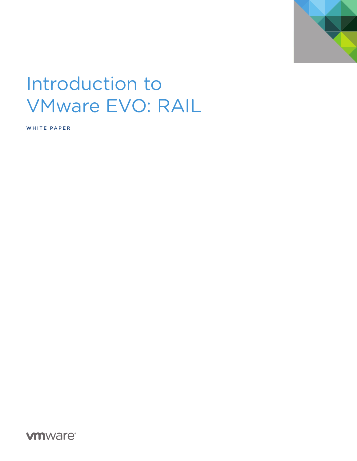

# Introduction to **VMware EVO: RAIL**

WHITE PAPER

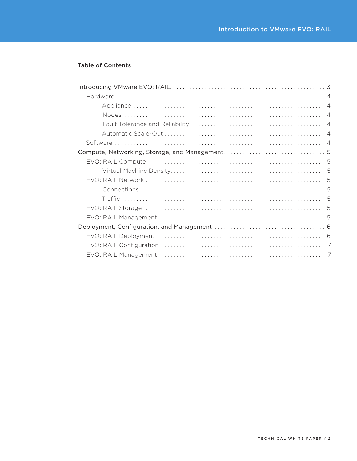## **Table of Contents**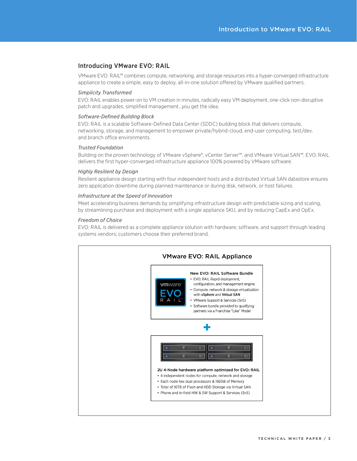## <span id="page-2-0"></span>Introducing VMware EVO: RAIL

VMware EVO: RAIL™ combines compute, networking, and storage resources into a hyper-converged infrastructure appliance to create a simple, easy to deploy, all-in-one solution offered by VMware qualified partners.

## *Simplicity Transformed*

EVO: RAIL enables power-on to VM creation in minutes, radically easy VM deployment, one-click non-disruptive patch and upgrades, simplified management…you get the idea.

## *Software-Defined Building Block*

EVO: RAIL is a scalable Software-Defined Data Center (SDDC) building block that delivers compute, networking, storage, and management to empower private/hybrid-cloud, end-user computing, test/dev, and branch office environments.

## *Trusted Foundation*

Building on the proven technology of VMware vSphere®, vCenter Server™, and VMware Virtual SAN™, EVO: RAIL delivers the first hyper-converged infrastructure appliance 100% powered by VMware software.

## *Highly Resilient by Design*

Resilient appliance design starting with four independent hosts and a distributed Virtual SAN datastore ensures zero application downtime during planned maintenance or during disk, network, or host failures.

## *Infrastructure at the Speed of Innovation*

Meet accelerating business demands by simplifying infrastructure design with predictable sizing and scaling, by streamlining purchase and deployment with a single appliance SKU, and by reducing CapEx and OpEx.

## *Freedom of Choice*

EVO: RAIL is delivered as a complete appliance solution with hardware, software, and support through leading systems vendors; customers choose their preferred brand.

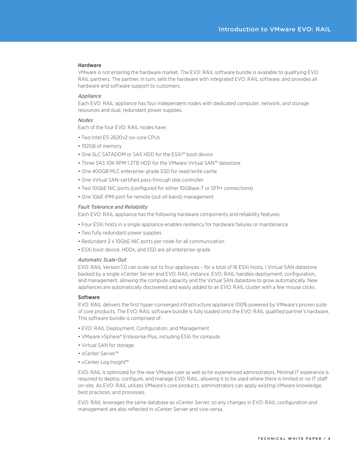#### <span id="page-3-0"></span>Hardware

VMware is not entering the hardware market. The EVO: RAIL software bundle is available to qualifying EVO: RAIL partners. The partner, in turn, sells the hardware with integrated EVO: RAIL software, and provides all hardware and software support to customers.

## *Appliance*

Each EVO: RAIL appliance has four independent nodes with dedicated computer, network, and storage resources and dual, redundant power supplies.

#### *Nodes*

Each of the four EVO: RAIL nodes have:

- Two Intel E5-2620v2 six-core CPUs
- 192GB of memory
- One SLC SATADOM or SAS HDD for the ESXi<sup>™</sup> boot device
- Three SAS 10K RPM 1.2TB HDD for the VMware Virtual SAN™ datastore
- One 400GB MLC enterprise-grade SSD for read/write cache
- One Virtual SAN-certified pass-through disk controller
- Two 10GbE NIC ports (configured for either 10GBase-T or SFP+ connections)
- One 1GbE IPMI port for remote (out-of-band) management

#### *Fault Tolerance and Reliability*

Each EVO: RAIL appliance has the following hardware components and reliability features:

- Four ESXi hosts in a single appliance enables resiliency for hardware failures or maintenance
- Two fully redundant power supplies
- Redundant 2 x 10GbE NIC ports per node for all communication
- ESXi boot device, HDDs, and SSD are all enterprise-grade

## *Automatic Scale-Out*

EVO: RAIL Version 1.0 can scale out to four appliances – for a total of 16 ESXi hosts, 1 Virtual SAN datastore backed by a single vCenter Server and EVO: RAIL instance. EVO: RAIL handles deployment, configuration, and management, allowing the compute capacity and the Virtual SAN datastore to grow automatically. New appliances are automatically discovered and easily added to an EVO: RAIL cluster with a few mouse clicks.

#### Software

EVO: RAIL delivers the first hyper-converged infrastructure appliance 100% powered by VMware's proven suite of core products. The EVO: RAIL software bundle is fully loaded onto the EVO: RAIL qualified partner's hardware. This software bundle is comprised of:

- EVO: RAIL Deployment, Configuration, and Management
- VMware vSphere® Enterprise Plus, including ESXi for compute
- • Virtual SAN for storage
- • vCenter Server™
- vCenter Log Insight™

EVO: RAIL is optimized for the new VMware user as well as for experienced administrators. Minimal IT experience is required to deploy, configure, and manage EVO: RAIL, allowing it to be used where there is limited or no IT staff on-site. As EVO: RAIL utilizes VMware's core products, administrators can apply existing VMware knowledge, best practices, and processes.

EVO: RAIL leverages the same database as vCenter Server, so any changes in EVO: RAIL configuration and management are also reflected in vCenter Server and vice-versa.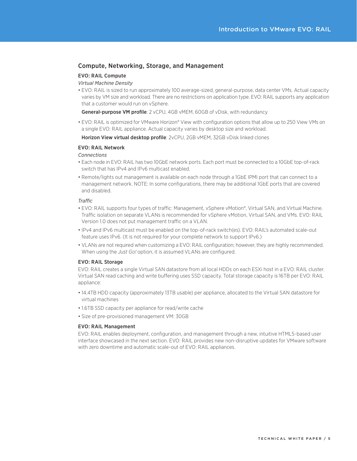## <span id="page-4-0"></span>Compute, Networking, Storage, and Management

## EVO: RAIL Compute

## *Virtual Machine Density*

• EVO: RAIL is sized to run approximately 100 average-sized, general-purpose, data center VMs. Actual capacity varies by VM size and workload. There are no restrictions on application type. EVO: RAIL supports any application that a customer would run on vSphere.

General-purpose VM profile: 2 vCPU, 4GB vMEM, 60GB of vDisk, with redundancy

• EVO: RAIL is optimized for VMware Horizon® View with configuration options that allow up to 250 View VMs on a single EVO: RAIL appliance. Actual capacity varies by desktop size and workload.

Horizon View virtual desktop profile: 2vCPU, 2GB vMEM, 32GB vDisk linked clones

## EVO: RAIL Network

## *Connections*

- Each node in EVO: RAIL has two 10GbE network ports. Each port must be connected to a 10GbE top-of-rack switch that has IPv4 and IPv6 multicast enabled.
- • Remote/lights out management is available on each node through a 1GbE IPMI port that can connect to a management network. NOTE: In some configurations, there may be additional 1GbE ports that are covered and disabled.

## *Traffic*

- EVO: RAIL supports four types of traffic: Management, vSphere vMotion®, Virtual SAN, and Virtual Machine. Traffic isolation on separate VLANs is recommended for vSphere vMotion, Virtual SAN, and VMs. EVO: RAIL Version 1.0 does not put management traffic on a VLAN.
- • IPv4 and IPv6 multicast must be enabled on the top-of-rack switch(es). EVO: RAIL's automated scale-out feature uses IPv6. (It is not required for your complete network to support IPv6.)
- VLANs are not required when customizing a EVO: RAIL configuration; however, they are highly recommended. When using the *Just Go!* option, it is assumed VLANs are configured.

## EVO: RAIL Storage

EVO: RAIL creates a single Virtual SAN datastore from all local HDDs on each ESXi host in a EVO: RAIL cluster. Virtual SAN read caching and write buffering uses SSD capacity. Total storage capacity is 16TB per EVO: RAIL appliance:

- 14.4TB HDD capacity (approximately 13TB usable) per appliance, allocated to the Virtual SAN datastore for virtual machines
- 1.6TB SSD capacity per appliance for read/write cache
- Size of pre-provisioned management VM: 30GB

## EVO: RAIL Management

EVO: RAIL enables deployment, configuration, and management through a new, intuitive HTML5-based user interface showcased in the next section. EVO: RAIL provides new non-disruptive updates for VMware software with zero downtime and automatic scale-out of EVO: RAIL appliances.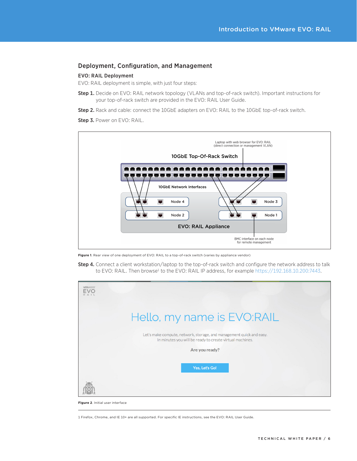## <span id="page-5-0"></span>Deployment, Configuration, and Management

## EVO: RAIL Deployment

EVO: RAIL deployment is simple, with just four steps:

- Step 1. Decide on EVO: RAIL network topology (VLANs and top-of-rack switch). Important instructions for your top-of-rack switch are provided in the EVO: RAIL User Guide.
- Step 2. Rack and cable: connect the 10GbE adapters on EVO: RAIL to the 10GbE top-of-rack switch.

Step 3. Power on EVO: RAIL.



**Figure 1**. Rear view of one deployment of EVO: RAIL to a top-of-rack switch (varies by appliance vendor)

Step 4. Connect a client workstation/laptop to the top-of-rack switch and configure the network address to talk to EVO: RAIL. Then browse<sup>1</sup> to the EVO: RAIL IP address, for example https://192.168.10.200:7443.

| vmware <sup>®</sup><br><b>FVO</b><br>RAIL                                                                                        |  |
|----------------------------------------------------------------------------------------------------------------------------------|--|
| Hello, my name is EVO:RAIL                                                                                                       |  |
| Let's make compute, network, storage, and management quick and easy.<br>In minutes you will be ready to create virtual machines. |  |
| Are you ready?                                                                                                                   |  |
| Yes, Let's Go!                                                                                                                   |  |
|                                                                                                                                  |  |

**Figure 2**. Initial user interface

<sup>1</sup> Firefox, Chrome, and IE 10+ are all supported. For specific IE instructions, see the EVO: RAIL User Guide.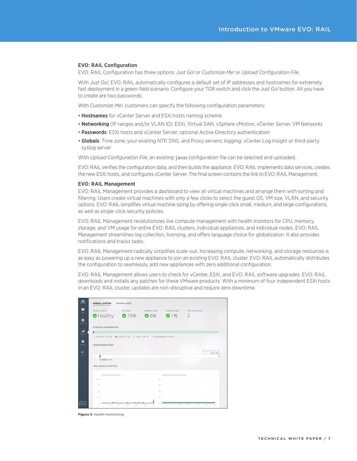## <span id="page-6-0"></span>EVO: RAIL Configuration

EVO: RAIL Configuration has three options: *Just Go!* or *Customize Me!* or *Upload Configuration File*.

With *Just Go!*, EVO: RAIL automatically configures a default set of IP addresses and hostnames for extremely fast deployment in a green-field scenario. Configure your TOR switch and click the *Just Go!* button. All you have to create are two passwords.

With *Customize Me!*, customers can specify the following configuration parameters:

- Hostnames for vCenter Server and ESXi hosts naming scheme
- Networking (IP ranges and/or VLAN ID): ESXi, Virtual SAN, vSphere vMotion, vCenter Server, VM Networks
- Passwords: ESXi hosts and vCenter Server; optional Active Directory authentication
- Globals: Time zone; your existing NTP, DNS, and Proxy servers; logging: vCenter Log Insight or third-party syslog server

With *Upload Configuration File*, an existing json configuration file can be selected and uploaded.

EVO: RAIL verifies the configuration data, and then builds the appliance. EVO: RAIL implements data services, creates the new ESXi hosts, and configures vCenter Server. The final screen contains the link to EVO: RAIL Management.

#### EVO: RAIL Management

EVO: RAIL Management provides a dashboard to view all virtual machines and arrange them with sorting and filtering. Users create virtual machines with only a few clicks to select the guest OS, VM size, VLAN, and security options. EVO: RAIL simplifies virtual machine sizing by offering single-click small, medium, and large configurations, as well as single-click security policies.

EVO: RAIL Management revolutionizes live compute management with health monitors for CPU, memory, storage, and VM usage for entire EVO: RAIL clusters, individual appliances, and individual nodes. EVO: RAIL Management streamlines log collection, licensing, and offers language choice for globalization. It also provides notifications and tracks tasks.

EVO: RAIL Management radically simplifies scale-out. Increasing compute, networking, and storage resources is as easy as powering up a new appliance to join an existing EVO: RAIL cluster. EVO: RAIL automatically distributes the configuration to seamlessly add new appliances with zero additional configuration.

EVO: RAIL Management allows users to check for vCenter, ESXi, and EVO: RAIL software upgrades. EVO: RAIL downloads and installs any patches for these VMware products. With a minimum of four independent ESXi hosts in an EVO: RAIL cluster, updates are non-disruptive and require zero downtime.



**Figure 3**. Health monitoring